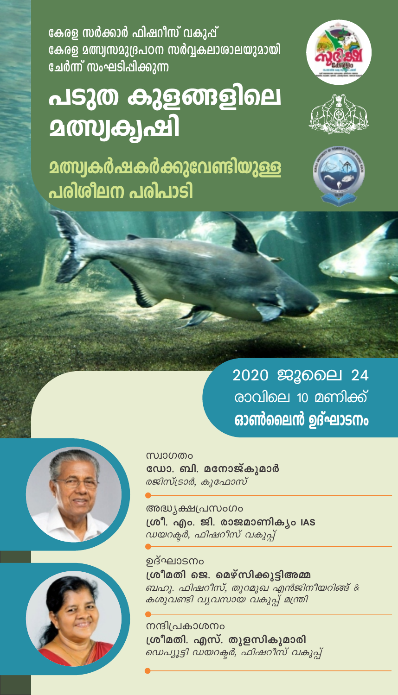കേരള സർക്കാർ ഫിഷറീസ് വകുപ്പ് കേരള മത്സ്വസമുദ്രപഠന സർവ്വകലാശാലയുമായി ചേർന്ന് സംഘടിപ്പിക്കുന്ന

## <u>പടുത കുളങ്ങളിലെ</u> **മത്സ്വക്വഷി**

**മത്സ്വകർഷകർക്കുവേണ്ടിയുള്ള** പരിശീലന പരിപാടി









2020 ജൂലൈ 24 രാവിലെ 10 മണിക്ക് ഓൺലൈൻ ഉദ്ഘാടനം

സ്വാഗതം ഡോ. ബി. മനോജ്കുമാർ രജിസ്ട്രാർ, കുഫോസ്

അദ്ധ്യക്ഷപ്രസംഗം ശ്രീ. എം. ജി. രാജമാണികൃം IAS ഡയറക്ടർ, ഫിഷറീസ് വകുപ്പ്

ഉദ്ഘാടനം ശ്രീമതി ജെ. മെഴ്സിക്കുട്ടിഅമ്മ -<br>ബഹു. ഫിഷറീസ്, തുറമുഖ എൻജിനീയറിങ്ങ് & കശുവണ്ടി വ്യവസായ വകുപ്പ് മന്ത്രി

നന്ദിപ്രകാശനം ശ്രീമതി. എസ്. തുളസികുമാരി ഡെപ്യൂട്ടി ഡയറക്ടർ, ഫിഷറീസ് വകുപ്പ്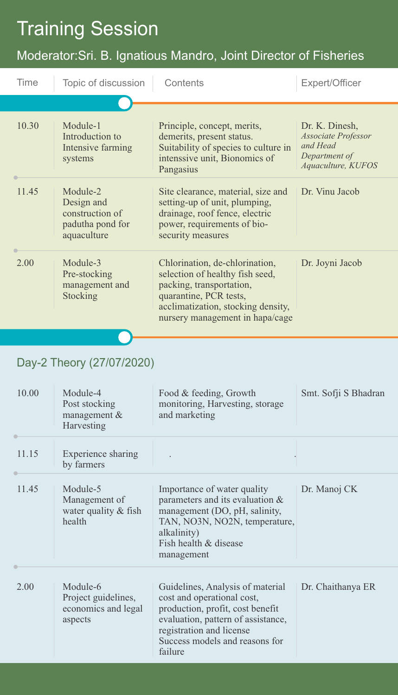## Training Session

## Moderator:Sri. B. Ignatious Mandro, Joint Director of Fisheries

| Time                      | Topic of discussion                                                          | Contents                                                                                                                                                                                                          | Expert/Officer                                                                                  |
|---------------------------|------------------------------------------------------------------------------|-------------------------------------------------------------------------------------------------------------------------------------------------------------------------------------------------------------------|-------------------------------------------------------------------------------------------------|
| 10.30                     | Module-1<br>Introduction to<br>Intensive farming<br>systems                  | Principle, concept, merits,<br>demerits, present status.<br>Suitability of species to culture in<br>intenssive unit, Bionomics of<br>Pangasius                                                                    | Dr. K. Dinesh,<br><b>Associate Professor</b><br>and Head<br>Department of<br>Aquaculture, KUFOS |
| 11.45                     | Module-2<br>Design and<br>construction of<br>padutha pond for<br>aquaculture | Site clearance, material, size and<br>setting-up of unit, plumping,<br>drainage, roof fence, electric<br>power, requirements of bio-<br>security measures                                                         | Dr. Vinu Jacob                                                                                  |
| 2.00                      | Module-3<br>Pre-stocking<br>management and<br>Stocking                       | Chlorination, de-chlorination,<br>selection of healthy fish seed,<br>packing, transportation,<br>quarantine, PCR tests,<br>acclimatization, stocking density,<br>nursery management in hapa/cage                  | Dr. Joyni Jacob                                                                                 |
| Day-2 Theory (27/07/2020) |                                                                              |                                                                                                                                                                                                                   |                                                                                                 |
| 10.00                     | Module-4<br>Post stocking<br>management &<br>Harvesting                      | Food & feeding, Growth<br>monitoring, Harvesting, storage<br>and marketing                                                                                                                                        | Smt. Sofji S Bhadran                                                                            |
| 11.15                     | Experience sharing<br>by farmers                                             |                                                                                                                                                                                                                   |                                                                                                 |
| 11.45                     | Module-5<br>Management of<br>water quality & fish<br>health                  | Importance of water quality<br>parameters and its evaluation &<br>management (DO, pH, salinity,<br>TAN, NO3N, NO2N, temperature,<br>alkalinity)<br>Fish health & disease<br>management                            | Dr. Manoj CK                                                                                    |
| 2.00                      | Module-6<br>Project guidelines,<br>economics and legal<br>aspects            | Guidelines, Analysis of material<br>cost and operational cost,<br>production, profit, cost benefit<br>evaluation, pattern of assistance,<br>registration and license<br>Success models and reasons for<br>failure | Dr. Chaithanya ER                                                                               |